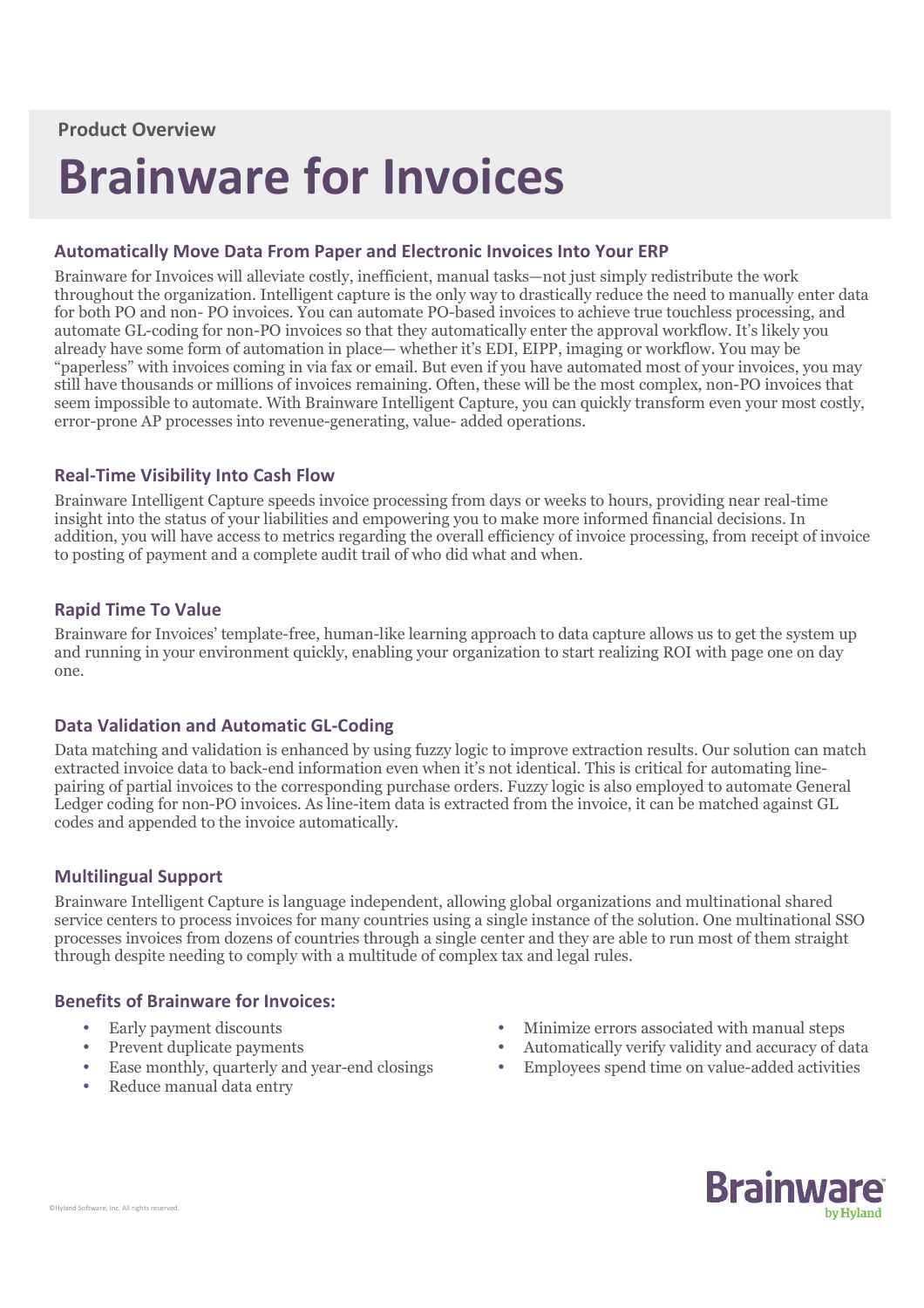# **Brainware for Invoices**

## **Automatically Move Data From Paper and Electronic Invoices Into Your ERP**

Brainware for Invoices will alleviate costly, inefficient, manual tasks—not just simply redistribute the work throughout the organization. Intelligent capture is the only way to drastically reduce the need to manually enter data for both PO and non- PO invoices. You can automate PO-based invoices to achieve true touchless processing, and automate GL-coding for non-PO invoices so that they automatically enter the approval workflow. It's likely you already have some form of automation in place— whether it's EDI, EIPP, imaging or workflow. You may be "paperless" with invoices coming in via fax or email. But even if you have automated most of your invoices, you may still have thousands or millions of invoices remaining. Often, these will be the most complex, non-PO invoices that seem impossible to automate. With Brainware Intelligent Capture, you can quickly transform even your most costly, error-prone AP processes into revenue-generating, value- added operations.

### **Real-Time Visibility Into Cash Flow**

Brainware Intelligent Capture speeds invoice processing from days or weeks to hours, providing near real-time insight into the status of your liabilities and empowering you to make more informed financial decisions. In addition, you will have access to metrics regarding the overall efficiency of invoice processing, from receipt of invoice to posting of payment and a complete audit trail of who did what and when.

# **Rapid Time To Value**

Brainware for Invoices' template-free, human-like learning approach to data capture allows us to get the system up and running in your environment quickly, enabling your organization to start realizing ROI with page one on day one.

### **Data Validation and Automatic GL-Coding**

Data matching and validation is enhanced by using fuzzy logic to improve extraction results. Our solution can match extracted invoice data to back-end information even when it's not identical. This is critical for automating linepairing of partial invoices to the corresponding purchase orders. Fuzzy logic is also employed to automate General Ledger coding for non-PO invoices. As line-item data is extracted from the invoice, it can be matched against GL codes and appended to the invoice automatically.

### **Multilingual Support**

Brainware Intelligent Capture is language independent, allowing global organizations and multinational shared service centers to process invoices for many countries using a single instance of the solution. One multinational SSO processes invoices from dozens of countries through a single center and they are able to run most of them straight through despite needing to comply with a multitude of complex tax and legal rules.

### **Benefits of Brainware for Invoices:**

- Early payment discounts
- Prevent duplicate payments
- Ease monthly, quarterly and year-end closings
- Reduce manual data entry
- Minimize errors associated with manual steps
- Automatically verify validity and accuracy of data
- Employees spend time on value-added activities